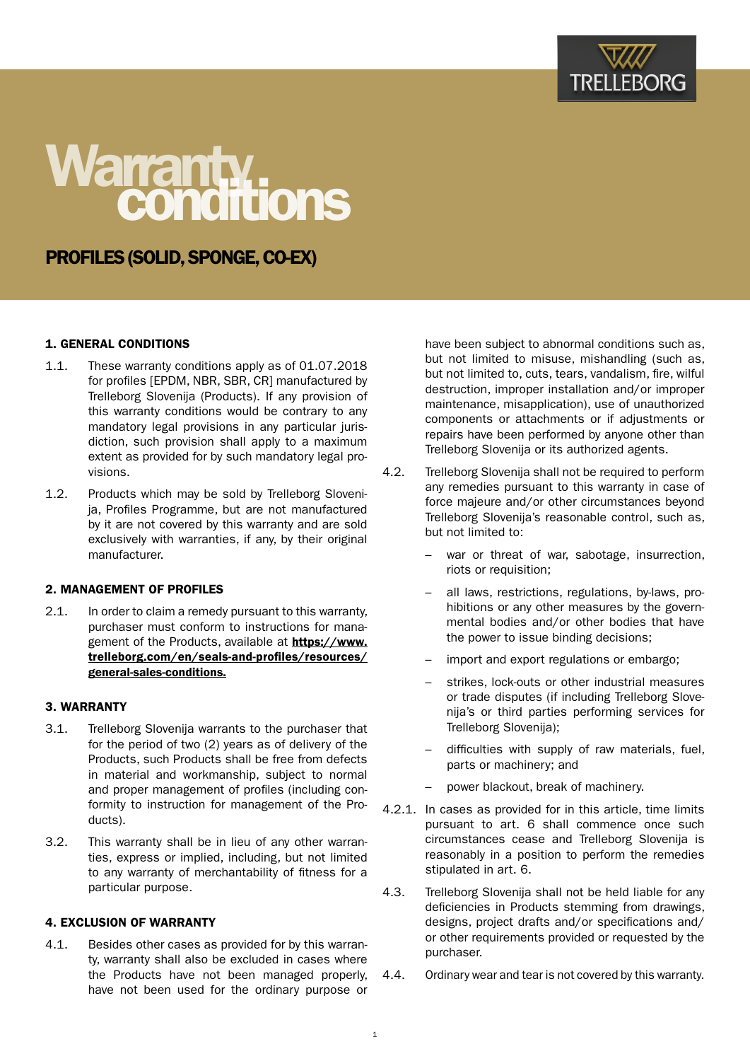

# Warranty.<br>**Conditions**

# PROFILES (SOLID, SPONGE, CO-EX)

# 1. GENERAL CONDITIONS

- 1.1. These warranty conditions apply as of 01.07.2018 for profiles [EPDM, NBR, SBR, CR] manufactured by Trelleborg Slovenija (Products). If any provision of this warranty conditions would be contrary to any mandatory legal provisions in any particular jurisdiction, such provision shall apply to a maximum extent as provided for by such mandatory legal provisions.
- 1.2. Products which may be sold by Trelleborg Slovenija, Profiles Programme, but are not manufactured by it are not covered by this warranty and are sold exclusively with warranties, if any, by their original manufacturer.

## 2. MANAGEMENT OF PROFILES

2.1. In order to claim a remedy pursuant to this warranty, purchaser must conform to instructions for management of the Products, available at [https://www.](https://www.trelleborg.com/en/seals-and-profiles/resources/general-sales-conditions) [trelleborg.com/en/seals-and-profiles/resources/](https://www.trelleborg.com/en/seals-and-profiles/resources/general-sales-conditions) [general-sales-conditions](https://www.trelleborg.com/en/seals-and-profiles/resources/general-sales-conditions)[.](https://www.trelleborg.com/en/seals-and-profiles/resources)

#### 3. WARRANTY

- 3.1. Trelleborg Slovenija warrants to the purchaser that for the period of two (2) years as of delivery of the Products, such Products shall be free from defects in material and workmanship, subject to normal and proper management of profiles (including conformity to instruction for management of the Products).
- 3.2. This warranty shall be in lieu of any other warranties, express or implied, including, but not limited to any warranty of merchantability of fitness for a particular purpose.

#### 4. EXCLUSION OF WARRANTY

4.1. Besides other cases as provided for by this warranty, warranty shall also be excluded in cases where the Products have not been managed properly, have not been used for the ordinary purpose or have been subject to abnormal conditions such as, but not limited to misuse, mishandling (such as, but not limited to, cuts, tears, vandalism, fire, wilful destruction, improper installation and/or improper maintenance, misapplication), use of unauthorized components or attachments or if adjustments or repairs have been performed by anyone other than Trelleborg Slovenija or its authorized agents.

- 4.2. Trelleborg Slovenija shall not be required to perform any remedies pursuant to this warranty in case of force majeure and/or other circumstances beyond Trelleborg Slovenija's reasonable control, such as, but not limited to:
	- war or threat of war, sabotage, insurrection, riots or requisition;
	- all laws, restrictions, regulations, by-laws, prohibitions or any other measures by the governmental bodies and/or other bodies that have the power to issue binding decisions;
	- import and export regulations or embargo;
	- strikes, lock-outs or other industrial measures or trade disputes (if including Trelleborg Slovenija's or third parties performing services for Trelleborg Slovenija);
	- difficulties with supply of raw materials, fuel, parts or machinery; and
	- power blackout, break of machinery.
- 4.2.1. In cases as provided for in this article, time limits pursuant to art. 6 shall commence once such circumstances cease and Trelleborg Slovenija is reasonably in a position to perform the remedies stipulated in art. 6.
- 4.3. Trelleborg Slovenija shall not be held liable for any deficiencies in Products stemming from drawings, designs, project drafts and/or specifications and/ or other requirements provided or requested by the purchaser.
- 4.4. Ordinary wear and tear is not covered by this warranty.